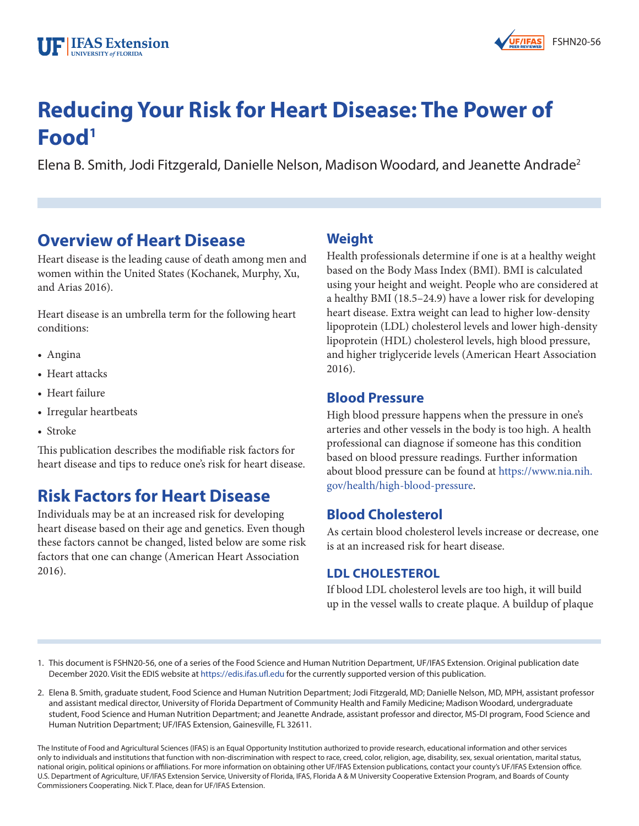



# **Reducing Your Risk for Heart Disease: The Power of Food1**

Elena B. Smith, Jodi Fitzgerald, Danielle Nelson, Madison Woodard, and Jeanette Andrade2

# **Overview of Heart Disease**

Heart disease is the leading cause of death among men and women within the United States (Kochanek, Murphy, Xu, and Arias 2016).

Heart disease is an umbrella term for the following heart conditions:

- Angina
- Heart attacks
- Heart failure
- Irregular heartbeats
- Stroke

This publication describes the modifiable risk factors for heart disease and tips to reduce one's risk for heart disease.

## **Risk Factors for Heart Disease**

Individuals may be at an increased risk for developing heart disease based on their age and genetics. Even though these factors cannot be changed, listed below are some risk factors that one can change (American Heart Association 2016).

### **Weight**

Health professionals determine if one is at a healthy weight based on the Body Mass Index (BMI). BMI is calculated using your height and weight. People who are considered at a healthy BMI (18.5–24.9) have a lower risk for developing heart disease. Extra weight can lead to higher low-density lipoprotein (LDL) cholesterol levels and lower high-density lipoprotein (HDL) cholesterol levels, high blood pressure, and higher triglyceride levels (American Heart Association 2016).

### **Blood Pressure**

High blood pressure happens when the pressure in one's arteries and other vessels in the body is too high. A health professional can diagnose if someone has this condition based on blood pressure readings. Further information about blood pressure can be found at https://www.nia.nih. gov/health/high-blood-pressure.

### **Blood Cholesterol**

As certain blood cholesterol levels increase or decrease, one is at an increased risk for heart disease.

### **LDL CHOLESTEROL**

If blood LDL cholesterol levels are too high, it will build up in the vessel walls to create plaque. A buildup of plaque

1. This document is FSHN20-56, one of a series of the Food Science and Human Nutrition Department, UF/IFAS Extension. Original publication date December 2020. Visit the EDIS website at https://edis.ifas.ufl.edu for the currently supported version of this publication.

2. Elena B. Smith, graduate student, Food Science and Human Nutrition Department; Jodi Fitzgerald, MD; Danielle Nelson, MD, MPH, assistant professor and assistant medical director, University of Florida Department of Community Health and Family Medicine; Madison Woodard, undergraduate student, Food Science and Human Nutrition Department; and Jeanette Andrade, assistant professor and director, MS-DI program, Food Science and Human Nutrition Department; UF/IFAS Extension, Gainesville, FL 32611.

The Institute of Food and Agricultural Sciences (IFAS) is an Equal Opportunity Institution authorized to provide research, educational information and other services only to individuals and institutions that function with non-discrimination with respect to race, creed, color, religion, age, disability, sex, sexual orientation, marital status, national origin, political opinions or affiliations. For more information on obtaining other UF/IFAS Extension publications, contact your county's UF/IFAS Extension office. U.S. Department of Agriculture, UF/IFAS Extension Service, University of Florida, IFAS, Florida A & M University Cooperative Extension Program, and Boards of County Commissioners Cooperating. Nick T. Place, dean for UF/IFAS Extension.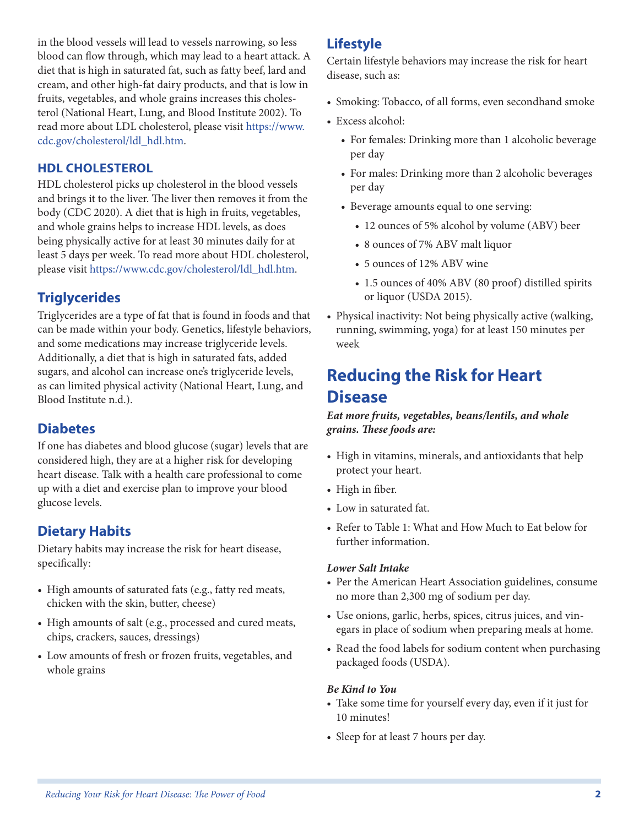in the blood vessels will lead to vessels narrowing, so less blood can flow through, which may lead to a heart attack. A diet that is high in saturated fat, such as fatty beef, lard and cream, and other high-fat dairy products, and that is low in fruits, vegetables, and whole grains increases this cholesterol (National Heart, Lung, and Blood Institute 2002). To read more about LDL cholesterol, please visit https://www. cdc.gov/cholesterol/ldl\_hdl.htm.

### **HDL CHOLESTEROL**

HDL cholesterol picks up cholesterol in the blood vessels and brings it to the liver. The liver then removes it from the body (CDC 2020). A diet that is high in fruits, vegetables, and whole grains helps to increase HDL levels, as does being physically active for at least 30 minutes daily for at least 5 days per week. To read more about HDL cholesterol, please visit https://www.cdc.gov/cholesterol/ldl\_hdl.htm.

### **Triglycerides**

Triglycerides are a type of fat that is found in foods and that can be made within your body. Genetics, lifestyle behaviors, and some medications may increase triglyceride levels. Additionally, a diet that is high in saturated fats, added sugars, and alcohol can increase one's triglyceride levels, as can limited physical activity (National Heart, Lung, and Blood Institute n.d.).

### **Diabetes**

If one has diabetes and blood glucose (sugar) levels that are considered high, they are at a higher risk for developing heart disease. Talk with a health care professional to come up with a diet and exercise plan to improve your blood glucose levels.

### **Dietary Habits**

Dietary habits may increase the risk for heart disease, specifically:

- High amounts of saturated fats (e.g., fatty red meats, chicken with the skin, butter, cheese)
- High amounts of salt (e.g., processed and cured meats, chips, crackers, sauces, dressings)
- Low amounts of fresh or frozen fruits, vegetables, and whole grains

### **Lifestyle**

Certain lifestyle behaviors may increase the risk for heart disease, such as:

- Smoking: Tobacco, of all forms, even secondhand smoke
- Excess alcohol:
	- For females: Drinking more than 1 alcoholic beverage per day
	- For males: Drinking more than 2 alcoholic beverages per day
	- Beverage amounts equal to one serving:
		- 12 ounces of 5% alcohol by volume (ABV) beer
		- 8 ounces of 7% ABV malt liquor
		- 5 ounces of 12% ABV wine
		- 1.5 ounces of 40% ABV (80 proof) distilled spirits or liquor (USDA 2015).
- Physical inactivity: Not being physically active (walking, running, swimming, yoga) for at least 150 minutes per week

# **Reducing the Risk for Heart Disease**

*Eat more fruits, vegetables, beans/lentils, and whole grains. These foods are:*

- High in vitamins, minerals, and antioxidants that help protect your heart.
- High in fiber.
- Low in saturated fat.
- Refer to Table 1: What and How Much to Eat below for further information.

#### *Lower Salt Intake*

- Per the American Heart Association guidelines, consume no more than 2,300 mg of sodium per day.
- Use onions, garlic, herbs, spices, citrus juices, and vinegars in place of sodium when preparing meals at home.
- Read the food labels for sodium content when purchasing packaged foods (USDA).

### *Be Kind to You*

- Take some time for yourself every day, even if it just for 10 minutes!
- Sleep for at least 7 hours per day.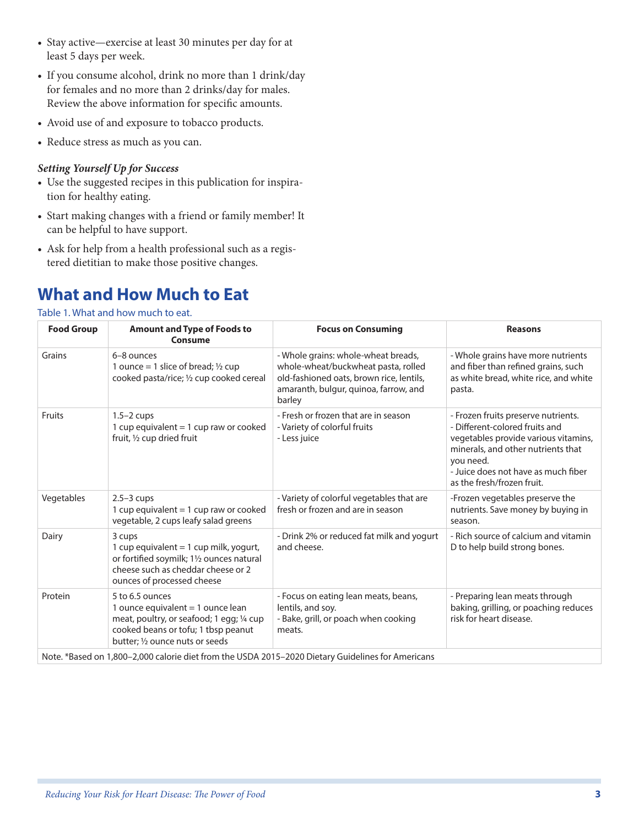- Stay active—exercise at least 30 minutes per day for at least 5 days per week.
- If you consume alcohol, drink no more than 1 drink/day for females and no more than 2 drinks/day for males. Review the above information for specific amounts.
- Avoid use of and exposure to tobacco products.
- Reduce stress as much as you can.

#### *Setting Yourself Up for Success*

- Use the suggested recipes in this publication for inspiration for healthy eating.
- Start making changes with a friend or family member! It can be helpful to have support.
- Ask for help from a health professional such as a registered dietitian to make those positive changes.

# **What and How Much to Eat**

#### Table 1. What and how much to eat.

| <b>Food Group</b>                                                                                 | <b>Amount and Type of Foods to</b><br>Consume                                                                                                                                 | <b>Focus on Consuming</b>                                                                                                                                                 | <b>Reasons</b>                                                                                                                                                                                                                        |
|---------------------------------------------------------------------------------------------------|-------------------------------------------------------------------------------------------------------------------------------------------------------------------------------|---------------------------------------------------------------------------------------------------------------------------------------------------------------------------|---------------------------------------------------------------------------------------------------------------------------------------------------------------------------------------------------------------------------------------|
| Grains                                                                                            | 6-8 ounces<br>1 ounce = 1 slice of bread; $\frac{1}{2}$ cup<br>cooked pasta/rice; 1/2 cup cooked cereal                                                                       | - Whole grains: whole-wheat breads,<br>whole-wheat/buckwheat pasta, rolled<br>old-fashioned oats, brown rice, lentils,<br>amaranth, bulgur, quinoa, farrow, and<br>barley | - Whole grains have more nutrients<br>and fiber than refined grains, such<br>as white bread, white rice, and white<br>pasta.                                                                                                          |
| Fruits                                                                                            | $1.5 - 2$ cups<br>1 cup equivalent = $1$ cup raw or cooked<br>fruit, 1/2 cup dried fruit                                                                                      | - Fresh or frozen that are in season<br>- Variety of colorful fruits<br>- Less juice                                                                                      | - Frozen fruits preserve nutrients.<br>- Different-colored fruits and<br>vegetables provide various vitamins,<br>minerals, and other nutrients that<br>you need.<br>- Juice does not have as much fiber<br>as the fresh/frozen fruit. |
| Vegetables                                                                                        | $2.5 - 3$ cups<br>1 cup equivalent = $1$ cup raw or cooked<br>vegetable, 2 cups leafy salad greens                                                                            | - Variety of colorful vegetables that are<br>fresh or frozen and are in season                                                                                            | -Frozen vegetables preserve the<br>nutrients. Save money by buying in<br>season.                                                                                                                                                      |
| Dairy                                                                                             | 3 cups<br>1 cup equivalent = 1 cup milk, yogurt,<br>or fortified soymilk; 11/2 ounces natural<br>cheese such as cheddar cheese or 2<br>ounces of processed cheese             | - Drink 2% or reduced fat milk and yogurt<br>and cheese.                                                                                                                  | - Rich source of calcium and vitamin<br>D to help build strong bones.                                                                                                                                                                 |
| Protein                                                                                           | 5 to 6.5 ounces<br>1 ounce equivalent $=$ 1 ounce lean<br>meat, poultry, or seafood; 1 egg; 1/4 cup<br>cooked beans or tofu; 1 tbsp peanut<br>butter; 1/2 ounce nuts or seeds | - Focus on eating lean meats, beans,<br>lentils, and soy.<br>- Bake, grill, or poach when cooking<br>meats.                                                               | - Preparing lean meats through<br>baking, grilling, or poaching reduces<br>risk for heart disease.                                                                                                                                    |
| Note. *Based on 1,800-2,000 calorie diet from the USDA 2015-2020 Dietary Guidelines for Americans |                                                                                                                                                                               |                                                                                                                                                                           |                                                                                                                                                                                                                                       |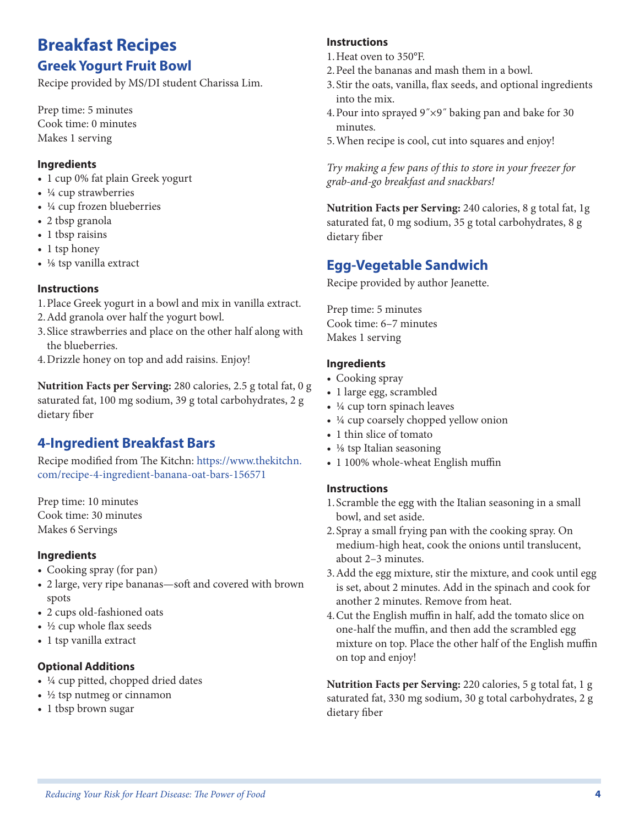# **Breakfast Recipes**

### **Greek Yogurt Fruit Bowl**

Recipe provided by MS/DI student Charissa Lim.

Prep time: 5 minutes Cook time: 0 minutes Makes 1 serving

### **Ingredients**

- 1 cup 0% fat plain Greek yogurt
- $\frac{1}{4}$  cup strawberries
- ¼ cup frozen blueberries
- 2 tbsp granola
- 1 tbsp raisins
- 1 tsp honey
- ⅛ tsp vanilla extract

### **Instructions**

- 1.Place Greek yogurt in a bowl and mix in vanilla extract.
- 2.Add granola over half the yogurt bowl.
- 3.Slice strawberries and place on the other half along with the blueberries.
- 4.Drizzle honey on top and add raisins. Enjoy!

**Nutrition Facts per Serving:** 280 calories, 2.5 g total fat, 0 g saturated fat, 100 mg sodium, 39 g total carbohydrates, 2 g dietary fiber

### **4-Ingredient Breakfast Bars**

Recipe modified from The Kitchn: https://www.thekitchn. com/recipe-4-ingredient-banana-oat-bars-156571

Prep time: 10 minutes Cook time: 30 minutes Makes 6 Servings

### **Ingredients**

- Cooking spray (for pan)
- 2 large, very ripe bananas—soft and covered with brown spots
- 2 cups old-fashioned oats
- ½ cup whole flax seeds
- 1 tsp vanilla extract

### **Optional Additions**

- ¼ cup pitted, chopped dried dates
- $\cdot$  ½ tsp nutmeg or cinnamon
- 1 tbsp brown sugar

### **Instructions**

- 1.Heat oven to 350°F.
- 2.Peel the bananas and mash them in a bowl.
- 3.Stir the oats, vanilla, flax seeds, and optional ingredients into the mix.
- 4.Pour into sprayed 9˝×9˝ baking pan and bake for 30 minutes.
- 5.When recipe is cool, cut into squares and enjoy!

*Try making a few pans of this to store in your freezer for grab-and-go breakfast and snackbars!*

**Nutrition Facts per Serving:** 240 calories, 8 g total fat, 1g saturated fat, 0 mg sodium, 35 g total carbohydrates, 8 g dietary fiber

### **Egg-Vegetable Sandwich**

Recipe provided by author Jeanette.

Prep time: 5 minutes Cook time: 6–7 minutes Makes 1 serving

### **Ingredients**

- Cooking spray
- 1 large egg, scrambled
- ¼ cup torn spinach leaves
- ¼ cup coarsely chopped yellow onion
- 1 thin slice of tomato
- $\frac{1}{8}$  tsp Italian seasoning
- 1 100% whole-wheat English muffin

### **Instructions**

- 1.Scramble the egg with the Italian seasoning in a small bowl, and set aside.
- 2.Spray a small frying pan with the cooking spray. On medium-high heat, cook the onions until translucent, about 2–3 minutes.
- 3.Add the egg mixture, stir the mixture, and cook until egg is set, about 2 minutes. Add in the spinach and cook for another 2 minutes. Remove from heat.
- 4.Cut the English muffin in half, add the tomato slice on one-half the muffin, and then add the scrambled egg mixture on top. Place the other half of the English muffin on top and enjoy!

**Nutrition Facts per Serving:** 220 calories, 5 g total fat, 1 g saturated fat, 330 mg sodium, 30 g total carbohydrates, 2 g dietary fiber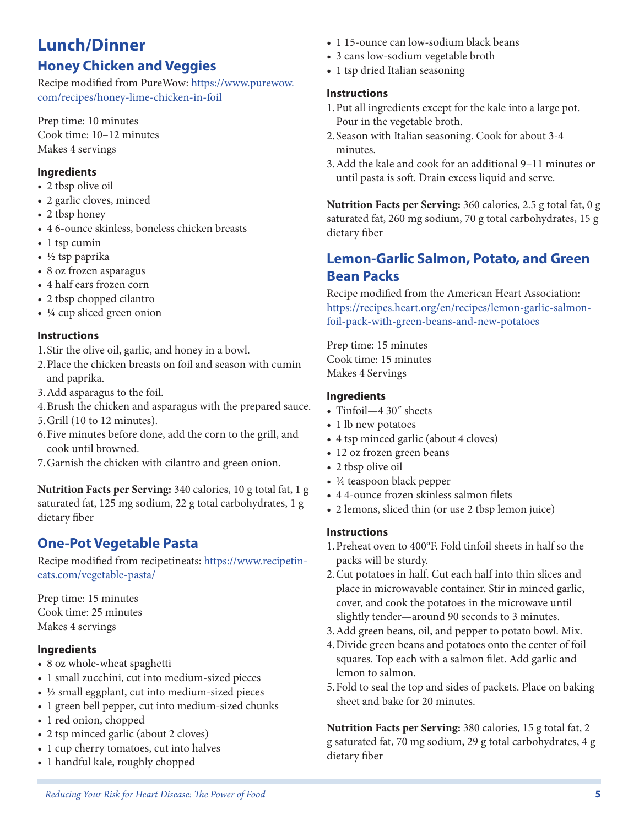# **Lunch/Dinner**

### **Honey Chicken and Veggies**

Recipe modified from PureWow: https://www.purewow. com/recipes/honey-lime-chicken-in-foil

Prep time: 10 minutes Cook time: 10–12 minutes Makes 4 servings

### **Ingredients**

- 2 tbsp olive oil
- 2 garlic cloves, minced
- 2 tbsp honey
- 4 6-ounce skinless, boneless chicken breasts
- 1 tsp cumin
- $\cdot$  ½ tsp paprika
- 8 oz frozen asparagus
- 4 half ears frozen corn
- 2 tbsp chopped cilantro
- ¼ cup sliced green onion

### **Instructions**

- 1.Stir the olive oil, garlic, and honey in a bowl.
- 2.Place the chicken breasts on foil and season with cumin and paprika.
- 3.Add asparagus to the foil.
- 4.Brush the chicken and asparagus with the prepared sauce.
- 5.Grill (10 to 12 minutes).
- 6.Five minutes before done, add the corn to the grill, and cook until browned.
- 7.Garnish the chicken with cilantro and green onion.

**Nutrition Facts per Serving:** 340 calories, 10 g total fat, 1 g saturated fat, 125 mg sodium, 22 g total carbohydrates, 1 g dietary fiber

### **One-Pot Vegetable Pasta**

Recipe modified from recipetineats: https://www.recipetineats.com/vegetable-pasta/

Prep time: 15 minutes Cook time: 25 minutes Makes 4 servings

### **Ingredients**

- 8 oz whole-wheat spaghetti
- 1 small zucchini, cut into medium-sized pieces
- ½ small eggplant, cut into medium-sized pieces
- 1 green bell pepper, cut into medium-sized chunks
- 1 red onion, chopped
- 2 tsp minced garlic (about 2 cloves)
- 1 cup cherry tomatoes, cut into halves
- 1 handful kale, roughly chopped
- 1 15-ounce can low-sodium black beans
- 3 cans low-sodium vegetable broth
- 1 tsp dried Italian seasoning

#### **Instructions**

- 1.Put all ingredients except for the kale into a large pot. Pour in the vegetable broth.
- 2.Season with Italian seasoning. Cook for about 3-4 minutes.
- 3.Add the kale and cook for an additional 9–11 minutes or until pasta is soft. Drain excess liquid and serve.

**Nutrition Facts per Serving:** 360 calories, 2.5 g total fat, 0 g saturated fat, 260 mg sodium, 70 g total carbohydrates, 15 g dietary fiber

### **Lemon-Garlic Salmon, Potato, and Green Bean Packs**

Recipe modified from the American Heart Association: https://recipes.heart.org/en/recipes/lemon-garlic-salmonfoil-pack-with-green-beans-and-new-potatoes

Prep time: 15 minutes Cook time: 15 minutes Makes 4 Servings

### **Ingredients**

- Tinfoil-4 30" sheets
- 1 lb new potatoes
- 4 tsp minced garlic (about 4 cloves)
- 12 oz frozen green beans
- 2 tbsp olive oil
- ¼ teaspoon black pepper
- 4 4-ounce frozen skinless salmon filets
- 2 lemons, sliced thin (or use 2 tbsp lemon juice)

#### **Instructions**

- 1.Preheat oven to 400°F. Fold tinfoil sheets in half so the packs will be sturdy.
- 2.Cut potatoes in half. Cut each half into thin slices and place in microwavable container. Stir in minced garlic, cover, and cook the potatoes in the microwave until slightly tender—around 90 seconds to 3 minutes.
- 3.Add green beans, oil, and pepper to potato bowl. Mix.
- 4.Divide green beans and potatoes onto the center of foil squares. Top each with a salmon filet. Add garlic and lemon to salmon.
- 5.Fold to seal the top and sides of packets. Place on baking sheet and bake for 20 minutes.

**Nutrition Facts per Serving:** 380 calories, 15 g total fat, 2 g saturated fat, 70 mg sodium, 29 g total carbohydrates, 4 g dietary fiber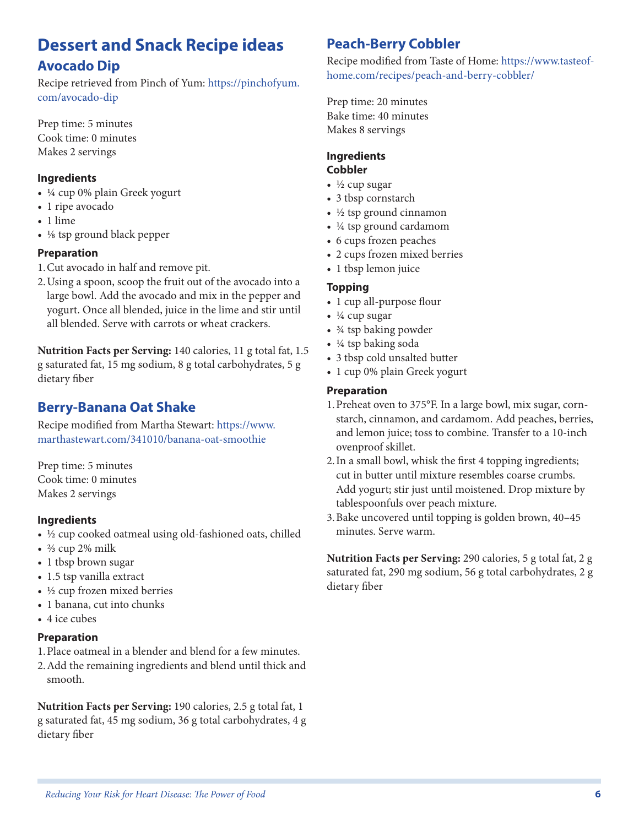# **Dessert and Snack Recipe ideas**

### **Avocado Dip**

Recipe retrieved from Pinch of Yum: https://pinchofyum. com/avocado-dip

Prep time: 5 minutes Cook time: 0 minutes Makes 2 servings

### **Ingredients**

- ¼ cup 0% plain Greek yogurt
- 1 ripe avocado
- 1 lime
- ⅛ tsp ground black pepper

### **Preparation**

- 1.Cut avocado in half and remove pit.
- 2.Using a spoon, scoop the fruit out of the avocado into a large bowl. Add the avocado and mix in the pepper and yogurt. Once all blended, juice in the lime and stir until all blended. Serve with carrots or wheat crackers.

**Nutrition Facts per Serving:** 140 calories, 11 g total fat, 1.5 g saturated fat, 15 mg sodium, 8 g total carbohydrates, 5 g dietary fiber

### **Berry-Banana Oat Shake**

Recipe modified from Martha Stewart: https://www. marthastewart.com/341010/banana-oat-smoothie

Prep time: 5 minutes Cook time: 0 minutes Makes 2 servings

### **Ingredients**

- ½ cup cooked oatmeal using old-fashioned oats, chilled
- $\frac{2}{3}$  cup 2% milk
- 1 tbsp brown sugar
- 1.5 tsp vanilla extract
- ½ cup frozen mixed berries
- 1 banana, cut into chunks
- 4 ice cubes

### **Preparation**

- 1.Place oatmeal in a blender and blend for a few minutes.
- 2.Add the remaining ingredients and blend until thick and smooth.

**Nutrition Facts per Serving:** 190 calories, 2.5 g total fat, 1 g saturated fat, 45 mg sodium, 36 g total carbohydrates, 4 g dietary fiber

### **Peach-Berry Cobbler**

Recipe modified from Taste of Home: https://www.tasteofhome.com/recipes/peach-and-berry-cobbler/

Prep time: 20 minutes Bake time: 40 minutes Makes 8 servings

### **Ingredients**

- **Cobbler**
- $\bullet$  ½ cup sugar
- 3 tbsp cornstarch
- ½ tsp ground cinnamon
- ¼ tsp ground cardamom
- 6 cups frozen peaches
- 2 cups frozen mixed berries
- 1 tbsp lemon juice

### **Topping**

- 1 cup all-purpose flour
- $\bullet$  ¼ cup sugar
- ¾ tsp baking powder
- ¼ tsp baking soda
- 3 tbsp cold unsalted butter
- 1 cup 0% plain Greek yogurt

### **Preparation**

- 1.Preheat oven to 375°F. In a large bowl, mix sugar, cornstarch, cinnamon, and cardamom. Add peaches, berries, and lemon juice; toss to combine. Transfer to a 10-inch ovenproof skillet.
- 2.In a small bowl, whisk the first 4 topping ingredients; cut in butter until mixture resembles coarse crumbs. Add yogurt; stir just until moistened. Drop mixture by tablespoonfuls over peach mixture.
- 3.Bake uncovered until topping is golden brown, 40–45 minutes. Serve warm.

**Nutrition Facts per Serving:** 290 calories, 5 g total fat, 2 g saturated fat, 290 mg sodium, 56 g total carbohydrates, 2 g dietary fiber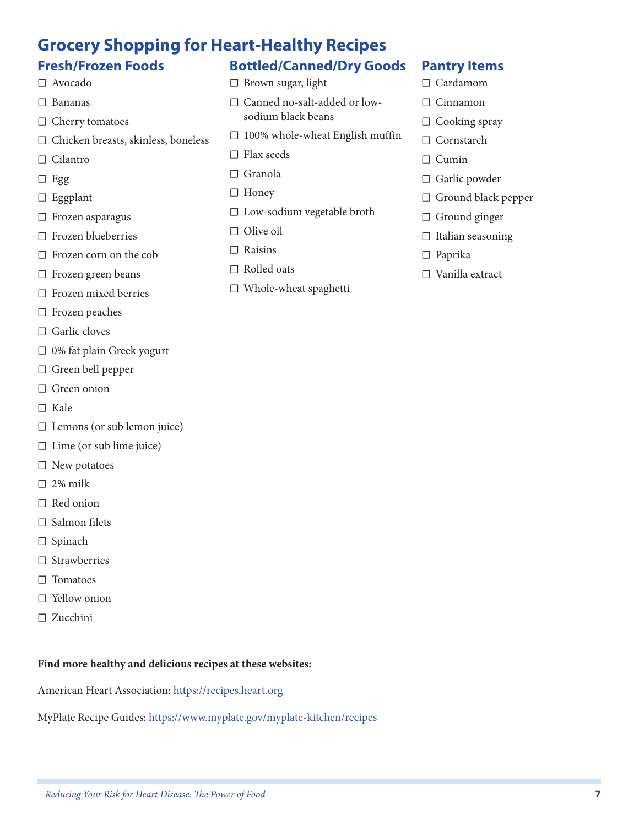#### **Grocery Shopping for Heart-Healthy Recipes Fresh/Frozen Foods Bottled/Canned/Dry Goods**

### ☐ Avocado

- ☐ Bananas
- □ Cherry tomatoes
- ☐ Chicken breasts, skinless, boneless
- □ Cilantro
- ☐ Egg
- □ Eggplant
- □ Frozen asparagus
- ☐ Frozen blueberries
- □ Frozen corn on the cob
- □ Frozen green beans
- ☐ Frozen mixed berries
- □ Frozen peaches
- $\Box$  Garlic cloves
- ☐ 0% fat plain Greek yogurt
- ☐ Green bell pepper
- □ Green onion
- ☐ Kale
- $\Box$  Lemons (or sub lemon juice)
- $\Box$  Lime (or sub lime juice)
- □ New potatoes
- $\square$  2% milk
- □ Red onion
- □ Salmon filets
- □ Spinach
- ☐ Strawberries
- □ Tomatoes
- □ Yellow onion
- ☐ Zucchini

#### **Find more healthy and delicious recipes at these websites:**

American Heart Association: https://recipes.heart.org

MyPlate Recipe Guides: https://www.myplate.gov/myplate-kitchen/recipes

- ☐ Brown sugar, light
- ☐ Canned no-salt-added or lowsodium black beans
- ☐ 100% whole-wheat English muffin
- $\Box$  Flax seeds
- ☐ Granola
- □ Honey
- ☐ Low-sodium vegetable broth
- □ Olive oil
- $\Box$  Raisins
- ☐ Rolled oats
- ☐ Whole-wheat spaghetti

### **Pantry Items**

- ☐ Cardamom
- □ Cinnamon
- □ Cooking spray
- □ Cornstarch
- ☐ Cumin
- □ Garlic powder
- □ Ground black pepper
- □ Ground ginger
- □ Italian seasoning
- ☐ Paprika
- ☐ Vanilla extract